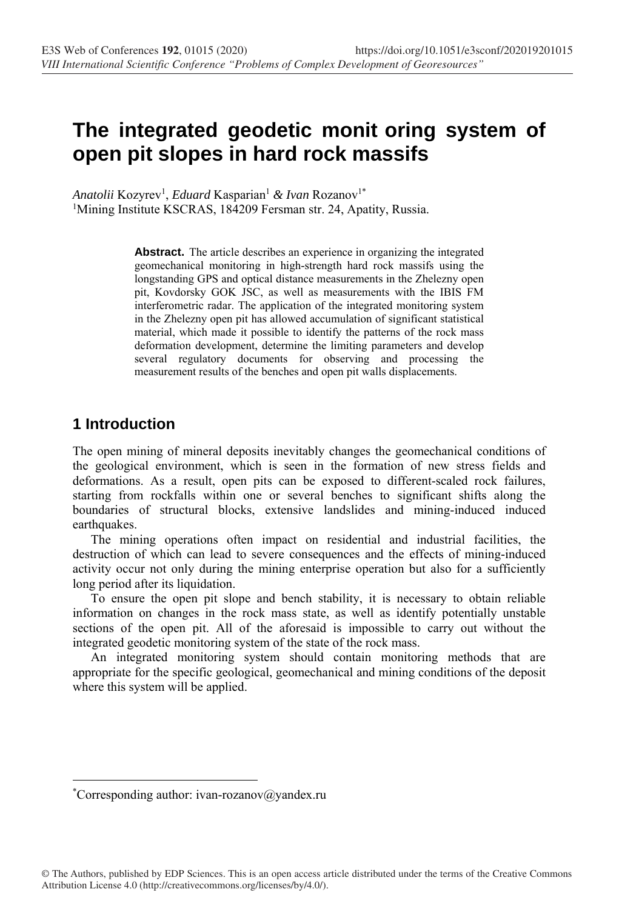# **The integrated geodetic monit oring system of open pit slopes in hard rock massifs**

Anatolii Kozyrev<sup>1</sup>, *Eduard* Kasparian<sup>1</sup> & Ivan Rozanov<sup>1\*</sup> <sup>1</sup>Mining Institute KSCRAS, 184209 Fersman str. 24, Apatity, Russia.

> Abstract. The article describes an experience in organizing the integrated geomechanical monitoring in high-strength hard rock massifs using the longstanding GPS and optical distance measurements in the Zhelezny open pit, Kovdorsky GOK JSC, as well as measurements with the IBIS FM interferometric radar. The application of the integrated monitoring system in the Zhelezny open pit has allowed accumulation of significant statistical material, which made it possible to identify the patterns of the rock mass deformation development, determine the limiting parameters and develop several regulatory documents for observing and processing the measurement results of the benches and open pit walls displacements.

# **1 Introduction**

The open mining of mineral deposits inevitably changes the geomechanical conditions of the geological environment, which is seen in the formation of new stress fields and deformations. As a result, open pits can be exposed to different-scaled rock failures, starting from rockfalls within one or several benches to significant shifts along the boundaries of structural blocks, extensive landslides and mining-induced induced earthquakes.

The mining operations often impact on residential and industrial facilities, the destruction of which can lead to severe consequences and the effects of mining-induced activity occur not only during the mining enterprise operation but also for a sufficiently long period after its liquidation.

To ensure the open pit slope and bench stability, it is necessary to obtain reliable information on changes in the rock mass state, as well as identify potentially unstable sections of the open pit. All of the aforesaid is impossible to carry out without the integrated geodetic monitoring system of the state of the rock mass.

An integrated monitoring system should contain monitoring methods that are appropriate for the specific geological, geomechanical and mining conditions of the deposit where this system will be applied.

<sup>\*</sup> Corresponding author: ivan-rozanov@yandex.ru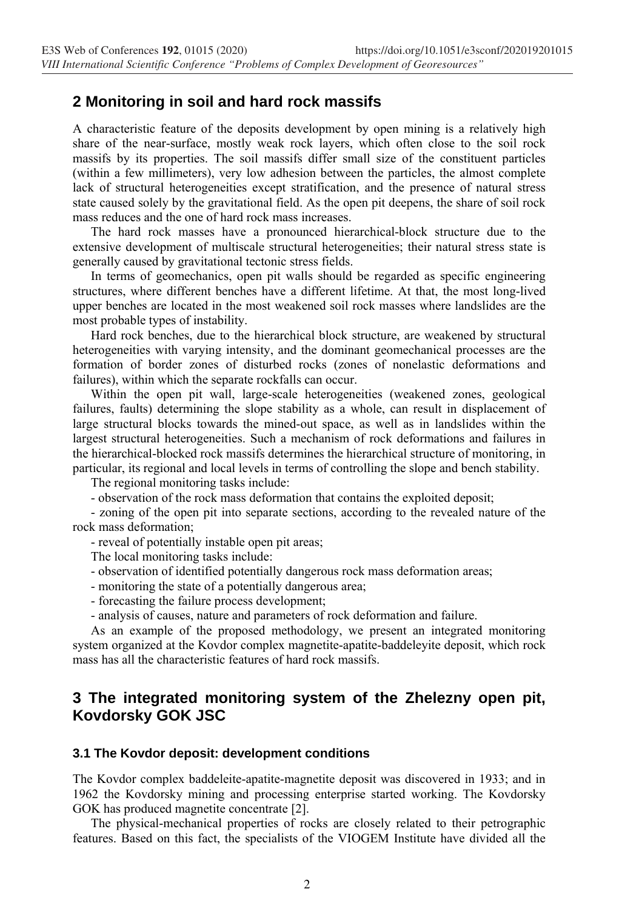## **2 Monitoring in soil and hard rock massifs**

A characteristic feature of the deposits development by open mining is a relatively high share of the near-surface, mostly weak rock layers, which often close to the soil rock massifs by its properties. The soil massifs differ small size of the constituent particles (within a few millimeters), very low adhesion between the particles, the almost complete lack of structural heterogeneities except stratification, and the presence of natural stress state caused solely by the gravitational field. As the open pit deepens, the share of soil rock mass reduces and the one of hard rock mass increases.

The hard rock masses have a pronounced hierarchical-block structure due to the extensive development of multiscale structural heterogeneities; their natural stress state is generally caused by gravitational tectonic stress fields.

In terms of geomechanics, open pit walls should be regarded as specific engineering structures, where different benches have a different lifetime. At that, the most long-lived upper benches are located in the most weakened soil rock masses where landslides are the most probable types of instability.

Hard rock benches, due to the hierarchical block structure, are weakened by structural heterogeneities with varying intensity, and the dominant geomechanical processes are the formation of border zones of disturbed rocks (zones of nonelastic deformations and failures), within which the separate rockfalls can occur.

Within the open pit wall, large-scale heterogeneities (weakened zones, geological failures, faults) determining the slope stability as a whole, can result in displacement of large structural blocks towards the mined-out space, as well as in landslides within the largest structural heterogeneities. Such a mechanism of rock deformations and failures in the hierarchical-blocked rock massifs determines the hierarchical structure of monitoring, in particular, its regional and local levels in terms of controlling the slope and bench stability.

The regional monitoring tasks include:

- observation of the rock mass deformation that contains the exploited deposit;

- zoning of the open pit into separate sections, according to the revealed nature of the rock mass deformation;

- reveal of potentially instable open pit areas;

The local monitoring tasks include:

- observation of identified potentially dangerous rock mass deformation areas;
- monitoring the state of a potentially dangerous area;
- forecasting the failure process development;
- analysis of causes, nature and parameters of rock deformation and failure.

As an example of the proposed methodology, we present an integrated monitoring system organized at the Kovdor complex magnetite-apatite-baddeleyite deposit, which rock mass has all the characteristic features of hard rock massifs.

## **3 The integrated monitoring system of the Zhelezny open pit, Kovdorsky GOK JSC**

#### **3.1 The Kovdor deposit: development conditions**

The Kovdor complex baddeleite-apatite-magnetite deposit was discovered in 1933; and in 1962 the Kovdorsky mining and processing enterprise started working. The Kovdorsky GOK has produced magnetite concentrate [2].

The physical-mechanical properties of rocks are closely related to their petrographic features. Based on this fact, the specialists of the VIOGEM Institute have divided all the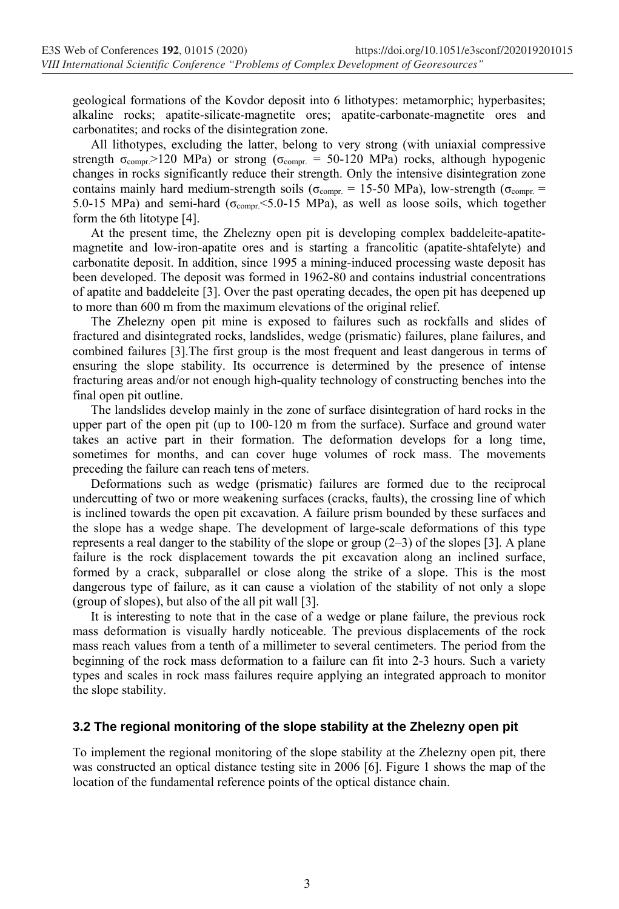geological formations of the Kovdor deposit into 6 lithotypes: metamorphic; hyperbasites; alkaline rocks; apatite-silicate-magnetite ores; apatite-carbonate-magnetite ores and carbonatites; and rocks of the disintegration zone.

All lithotypes, excluding the latter, belong to very strong (with uniaxial compressive strength  $\sigma_{\text{compr}} > 120 \text{ MPa}$ ) or strong ( $\sigma_{\text{compr.}} = 50{\text{-}}120 \text{ MPa}$ ) rocks, although hypogenic changes in rocks significantly reduce their strength. Only the intensive disintegration zone contains mainly hard medium-strength soils ( $\sigma_{\text{compr.}} = 15{\text -}50 \text{ MPa}$ ), low-strength ( $\sigma_{\text{compr.}} =$ 5.0-15 MPa) and semi-hard ( $\sigma_{\text{compr}}$  <5.0-15 MPa), as well as loose soils, which together form the 6th litotype [4].

At the present time, the Zhelezny open pit is developing complex baddeleite-apatitemagnetite and low-iron-apatite ores and is starting a francolitic (apatite-shtafelyte) and carbonatite deposit. In addition, since 1995 a mining-induced processing waste deposit has been developed. The deposit was formed in 1962-80 and contains industrial concentrations of apatite and baddeleite [3]. Over the past operating decades, the open pit has deepened up to more than 600 m from the maximum elevations of the original relief.

The Zhelezny open pit mine is exposed to failures such as rockfalls and slides of fractured and disintegrated rocks, landslides, wedge (prismatic) failures, plane failures, and combined failures [3].The first group is the most frequent and least dangerous in terms of ensuring the slope stability. Its occurrence is determined by the presence of intense fracturing areas and/or not enough high-quality technology of constructing benches into the final open pit outline.

The landslides develop mainly in the zone of surface disintegration of hard rocks in the upper part of the open pit (up to 100-120 m from the surface). Surface and ground water takes an active part in their formation. The deformation develops for a long time, sometimes for months, and can cover huge volumes of rock mass. The movements preceding the failure can reach tens of meters.

Deformations such as wedge (prismatic) failures are formed due to the reciprocal undercutting of two or more weakening surfaces (cracks, faults), the crossing line of which is inclined towards the open pit excavation. A failure prism bounded by these surfaces and the slope has a wedge shape. The development of large-scale deformations of this type represents a real danger to the stability of the slope or group  $(2-3)$  of the slopes [3]. A plane failure is the rock displacement towards the pit excavation along an inclined surface, formed by a crack, subparallel or close along the strike of a slope. This is the most dangerous type of failure, as it can cause a violation of the stability of not only a slope (group of slopes), but also of the all pit wall [3].

It is interesting to note that in the case of a wedge or plane failure, the previous rock mass deformation is visually hardly noticeable. The previous displacements of the rock mass reach values from a tenth of a millimeter to several centimeters. The period from the beginning of the rock mass deformation to a failure can fit into 2-3 hours. Such a variety types and scales in rock mass failures require applying an integrated approach to monitor the slope stability.

#### **3.2 The regional monitoring of the slope stability at the Zhelezny open pit**

To implement the regional monitoring of the slope stability at the Zhelezny open pit, there was constructed an optical distance testing site in 2006 [6]. Figure 1 shows the map of the location of the fundamental reference points of the optical distance chain.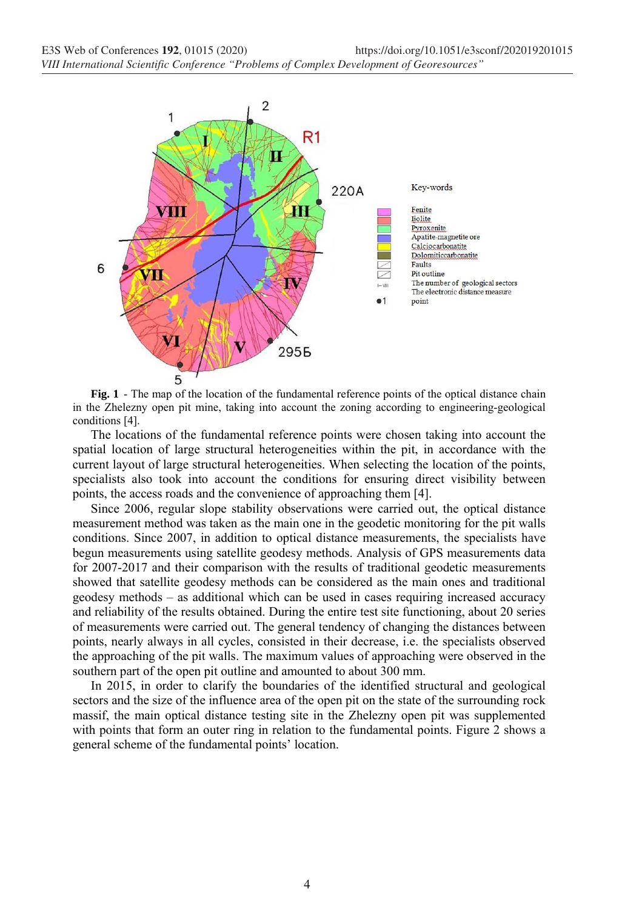

**Fig. 1** - The map of the location of the fundamental reference points of the optical distance chain in the Zhelezny open pit mine, taking into account the zoning according to engineering-geological conditions [4].

The locations of the fundamental reference points were chosen taking into account the spatial location of large structural heterogeneities within the pit, in accordance with the current layout of large structural heterogeneities. When selecting the location of the points, specialists also took into account the conditions for ensuring direct visibility between points, the access roads and the convenience of approaching them [4].

Since 2006, regular slope stability observations were carried out, the optical distance measurement method was taken as the main one in the geodetic monitoring for the pit walls conditions. Since 2007, in addition to optical distance measurements, the specialists have begun measurements using satellite geodesy methods. Analysis of GPS measurements data for 2007-2017 and their comparison with the results of traditional geodetic measurements showed that satellite geodesy methods can be considered as the main ones and traditional geodesy methods – as additional which can be used in cases requiring increased accuracy and reliability of the results obtained. During the entire test site functioning, about 20 series of measurements were carried out. The general tendency of changing the distances between points, nearly always in all cycles, consisted in their decrease, i.e. the specialists observed the approaching of the pit walls. The maximum values of approaching were observed in the southern part of the open pit outline and amounted to about 300 mm.

In 2015, in order to clarify the boundaries of the identified structural and geological sectors and the size of the influence area of the open pit on the state of the surrounding rock massif, the main optical distance testing site in the Zhelezny open pit was supplemented with points that form an outer ring in relation to the fundamental points. Figure 2 shows a general scheme of the fundamental points' location.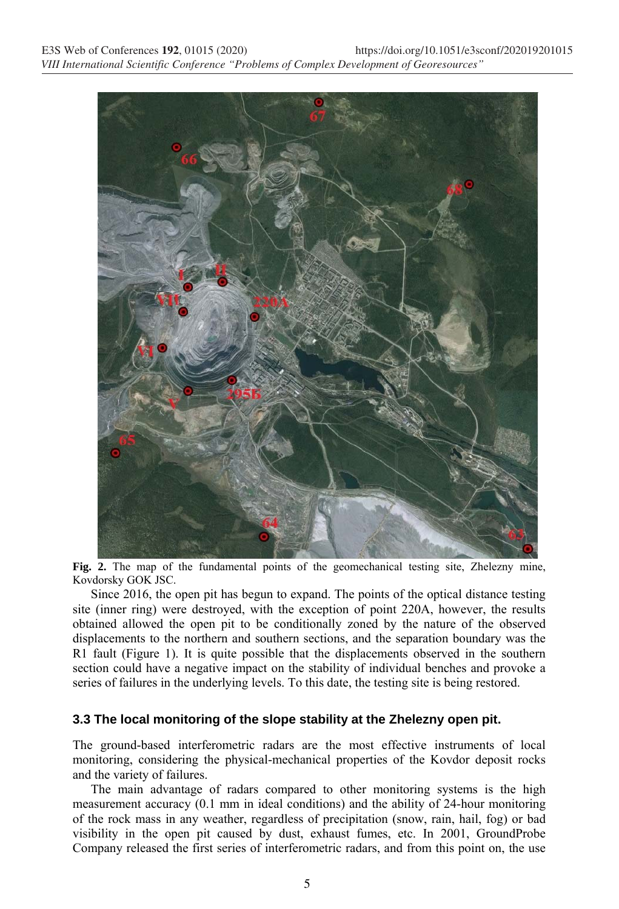

**Fig. 2.** The map of the fundamental points of the geomechanical testing site, Zhelezny mine, Kovdorsky GOK JSC.

Since 2016, the open pit has begun to expand. The points of the optical distance testing site (inner ring) were destroyed, with the exception of point 220A, however, the results obtained allowed the open pit to be conditionally zoned by the nature of the observed displacements to the northern and southern sections, and the separation boundary was the R1 fault (Figure 1). It is quite possible that the displacements observed in the southern section could have a negative impact on the stability of individual benches and provoke a series of failures in the underlying levels. To this date, the testing site is being restored.

#### **3.3 The local monitoring of the slope stability at the Zhelezny open pit.**

The ground-based interferometric radars are the most effective instruments of local monitoring, considering the physical-mechanical properties of the Kovdor deposit rocks and the variety of failures.

The main advantage of radars compared to other monitoring systems is the high measurement accuracy (0.1 mm in ideal conditions) and the ability of 24-hour monitoring of the rock mass in any weather, regardless of precipitation (snow, rain, hail, fog) or bad visibility in the open pit caused by dust, exhaust fumes, etc. In 2001, GroundProbe Company released the first series of interferometric radars, and from this point on, the use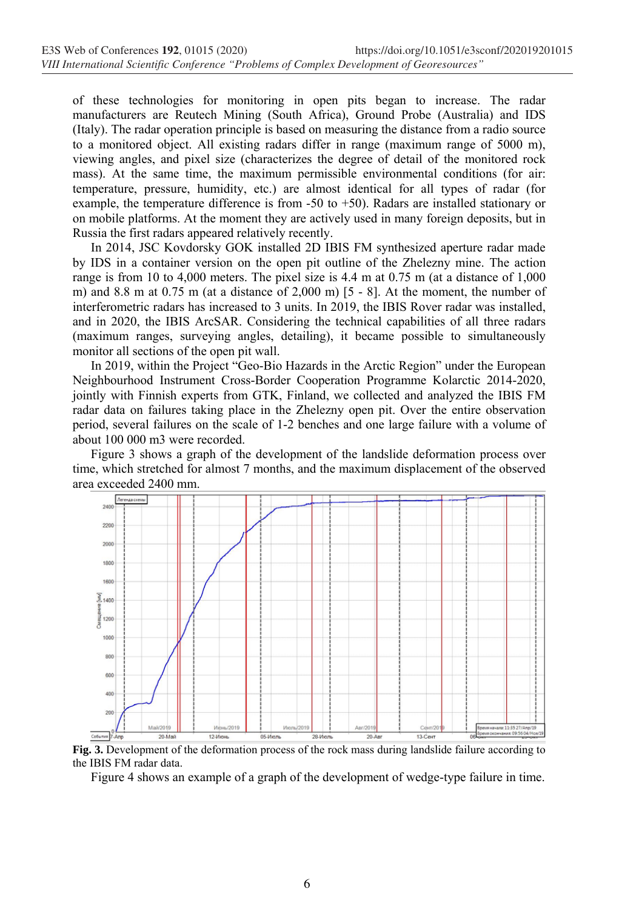of these technologies for monitoring in open pits began to increase. The radar manufacturers are Reutech Mining (South Africa), Ground Probe (Australia) and IDS (Italy). The radar operation principle is based on measuring the distance from a radio source to a monitored object. All existing radars differ in range (maximum range of 5000 m), viewing angles, and pixel size (characterizes the degree of detail of the monitored rock mass). At the same time, the maximum permissible environmental conditions (for air: temperature, pressure, humidity, etc.) are almost identical for all types of radar (for example, the temperature difference is from -50 to +50). Radars are installed stationary or on mobile platforms. At the moment they are actively used in many foreign deposits, but in Russia the first radars appeared relatively recently.

In 2014, JSC Kovdorsky GOK installed 2D IBIS FM synthesized aperture radar made by IDS in a container version on the open pit outline of the Zhelezny mine. The action range is from 10 to 4,000 meters. The pixel size is 4.4 m at 0.75 m (at a distance of 1,000 m) and 8.8 m at 0.75 m (at a distance of 2,000 m) [5 - 8]. At the moment, the number of interferometric radars has increased to 3 units. In 2019, the IBIS Rover radar was installed, and in 2020, the IBIS ArcSAR. Considering the technical capabilities of all three radars (maximum ranges, surveying angles, detailing), it became possible to simultaneously monitor all sections of the open pit wall.

In 2019, within the Project "Geo-Bio Hazards in the Arctic Region" under the European Neighbourhood Instrument Cross-Border Cooperation Programme Kolarctic 2014-2020, jointly with Finnish experts from GTK, Finland, we collected and analyzed the IBIS FM radar data on failures taking place in the Zhelezny open pit. Over the entire observation period, several failures on the scale of 1-2 benches and one large failure with a volume of about 100 000 m3 were recorded.

Figure 3 shows a graph of the development of the landslide deformation process over time, which stretched for almost 7 months, and the maximum displacement of the observed area exceeded 2400 mm.



the IBIS FM radar data.

Figure 4 shows an example of a graph of the development of wedge-type failure in time.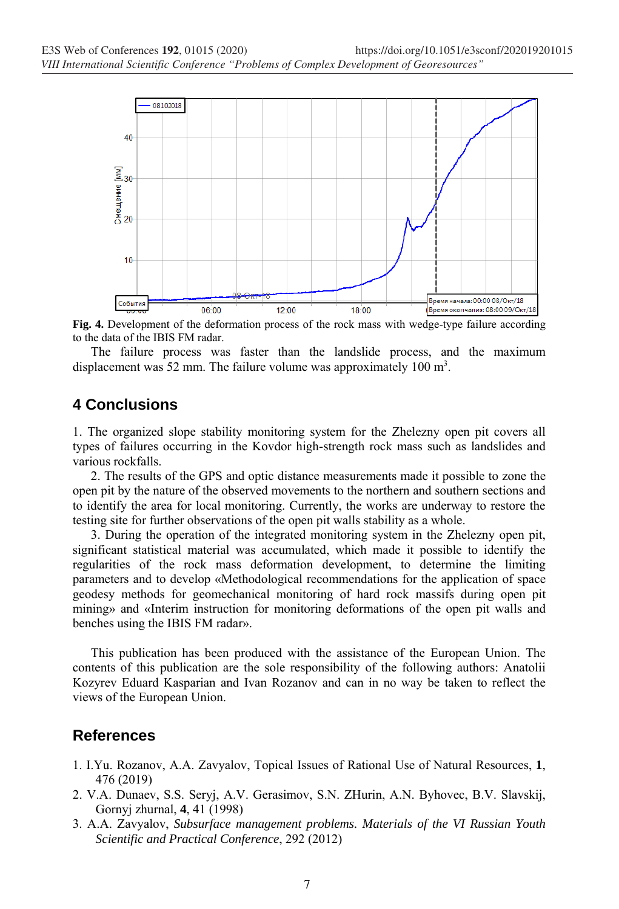

**Fig. 4.** Development of the deformation process of the rock mass with wedge-type failure according to the data of the IBIS FM radar.

The failure process was faster than the landslide process, and the maximum displacement was 52 mm. The failure volume was approximately 100  $m<sup>3</sup>$ .

## **4 Conclusions**

1. The organized slope stability monitoring system for the Zhelezny open pit covers all types of failures occurring in the Kovdor high-strength rock mass such as landslides and various rockfalls.

2. The results of the GPS and optic distance measurements made it possible to zone the open pit by the nature of the observed movements to the northern and southern sections and to identify the area for local monitoring. Currently, the works are underway to restore the testing site for further observations of the open pit walls stability as a whole.

3. During the operation of the integrated monitoring system in the Zhelezny open pit, significant statistical material was accumulated, which made it possible to identify the regularities of the rock mass deformation development, to determine the limiting parameters and to develop «Methodological recommendations for the application of space geodesy methods for geomechanical monitoring of hard rock massifs during open pit mining» and «Interim instruction for monitoring deformations of the open pit walls and benches using the IBIS FM radar».

This publication has been produced with the assistance of the European Union. The contents of this publication are the sole responsibility of the following authors: Anatolii Kozyrev Eduard Kasparian and Ivan Rozanov and can in no way be taken to reflect the views of the European Union.

### **References**

- 1. I.Yu. Rozanov, A.A. Zavyalov, Topical Issues of Rational Use of Natural Resources, **1**, 476 (2019)
- 2. V.A. Dunaev, S.S. Seryj, A.V. Gerasimov, S.N. ZHurin, A.N. Byhovec, B.V. Slavskij, Gornyj zhurnal, **4**, 41 (1998)
- 3. A.A. Zavyalov, *Subsurface management problems. Materials of the VI Russian Youth Scientific and Practical Conference*, 292 (2012)